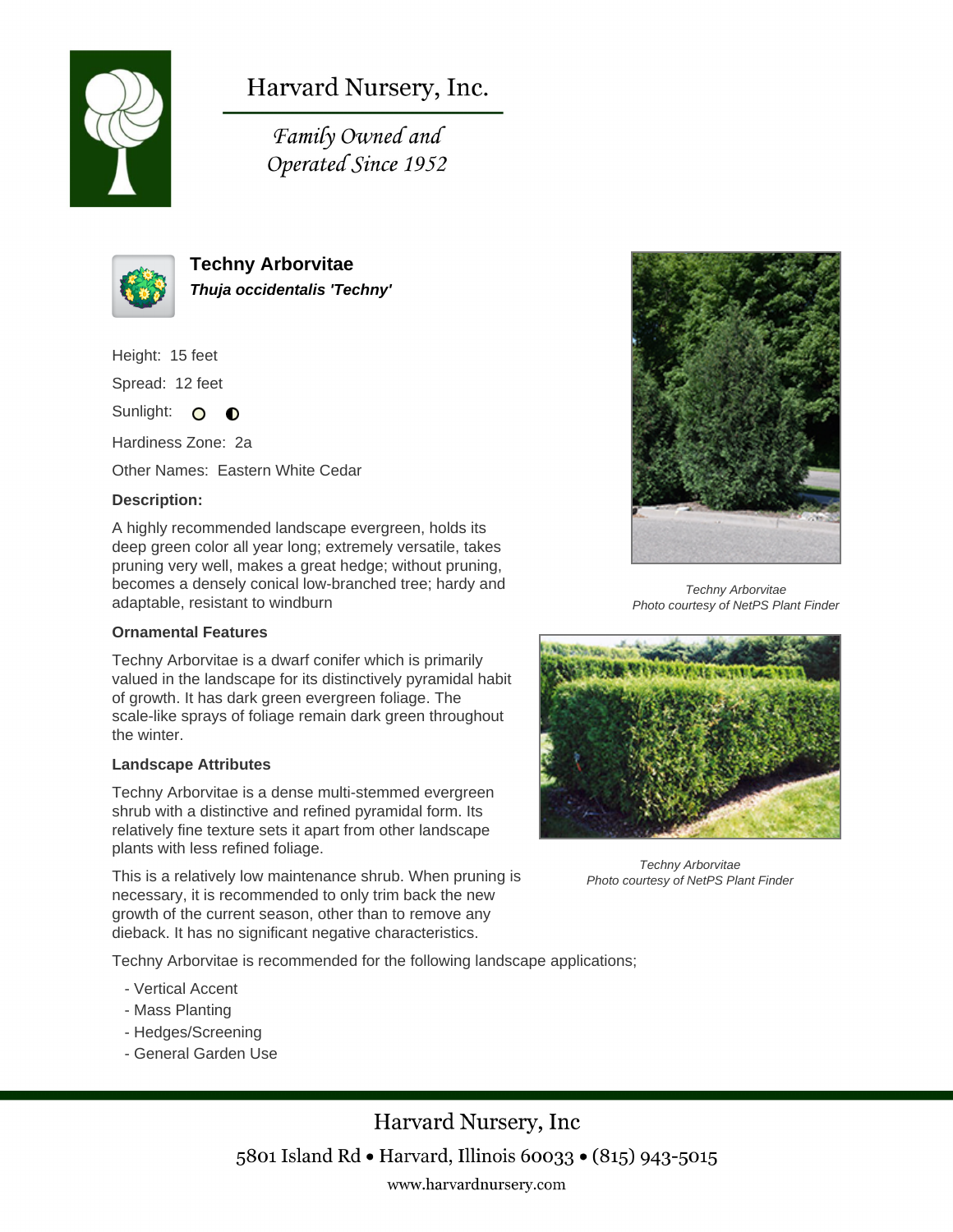

Harvard Nursery, Inc.

Family Owned and Operated Since 1952



**Techny Arborvitae Thuja occidentalis 'Techny'**

Height: 15 feet

Spread: 12 feet

Sunlight: O **O** 

Hardiness Zone: 2a

Other Names: Eastern White Cedar

## **Description:**

A highly recommended landscape evergreen, holds its deep green color all year long; extremely versatile, takes pruning very well, makes a great hedge; without pruning, becomes a densely conical low-branched tree; hardy and adaptable, resistant to windburn

## **Ornamental Features**

Techny Arborvitae is a dwarf conifer which is primarily valued in the landscape for its distinctively pyramidal habit of growth. It has dark green evergreen foliage. The scale-like sprays of foliage remain dark green throughout the winter.

## **Landscape Attributes**

Techny Arborvitae is a dense multi-stemmed evergreen shrub with a distinctive and refined pyramidal form. Its relatively fine texture sets it apart from other landscape plants with less refined foliage.

This is a relatively low maintenance shrub. When pruning is necessary, it is recommended to only trim back the new growth of the current season, other than to remove any dieback. It has no significant negative characteristics.

Techny Arborvitae is recommended for the following landscape applications;

- Vertical Accent
- Mass Planting
- Hedges/Screening
- General Garden Use





Techny Arborvitae Photo courtesy of NetPS Plant Finder



Techny Arborvitae Photo courtesy of NetPS Plant Finder